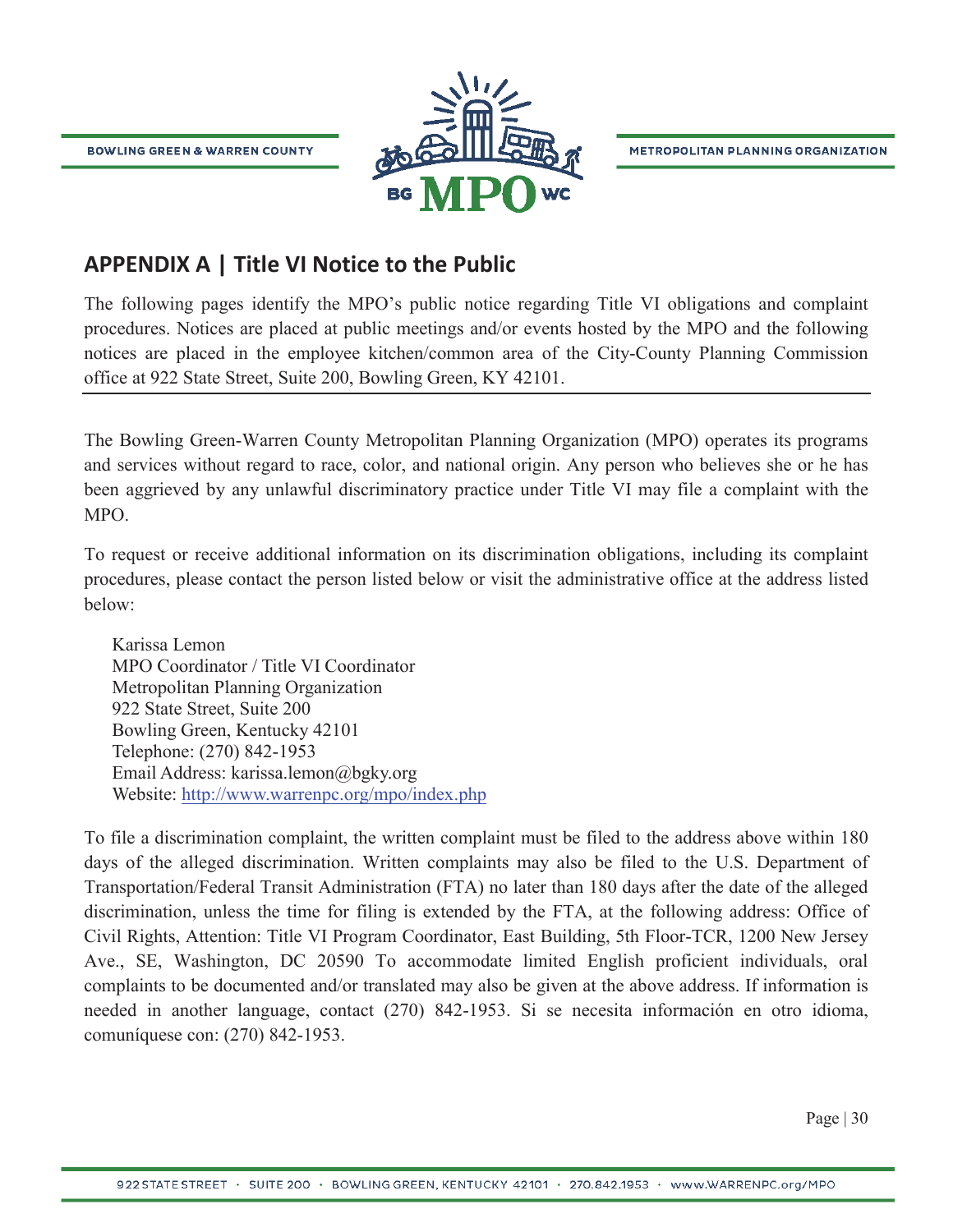METROPOLITAN PLANNING ORGANIZATION

**BOWLING GREEN & WARREN COUNTY** 



#### **APPENDIX A | Title VI Notice to the Public**

The following pages identify the MPO's public notice regarding Title VI obligations and complaint procedures. Notices are placed at public meetings and/or events hosted by the MPO and the following notices are placed in the employee kitchen/common area of the City-County Planning Commission office at 922 State Street, Suite 200, Bowling Green, KY 42101.

The Bowling Green-Warren County Metropolitan Planning Organization (MPO) operates its programs and services without regard to race, color, and national origin. Any person who believes she or he has been aggrieved by any unlawful discriminatory practice under Title VI may file a complaint with the MPO.

To request or receive additional information on its discrimination obligations, including its complaint procedures, please contact the person listed below or visit the administrative office at the address listed below:

Karissa Lemon MPO Coordinator / Title VI Coordinator Metropolitan Planning Organization 922 State Street, Suite 200 Bowling Green, Kentucky 42101 Telephone: (270) 842-1953 Email Address: karissa.lemon@bgky.org Website: http://www.warrenpc.org/mpo/index.php

To file a discrimination complaint, the written complaint must be filed to the address above within 180 days of the alleged discrimination. Written complaints may also be filed to the U.S. Department of Transportation/Federal Transit Administration (FTA) no later than 180 days after the date of the alleged discrimination, unless the time for filing is extended by the FTA, at the following address: Office of Civil Rights, Attention: Title VI Program Coordinator, East Building, 5th Floor-TCR, 1200 New Jersey Ave., SE, Washington, DC 20590 To accommodate limited English proficient individuals, oral complaints to be documented and/or translated may also be given at the above address. If information is needed in another language, contact (270) 842-1953. Si se necesita información en otro idioma, comuníquese con: (270) 842-1953.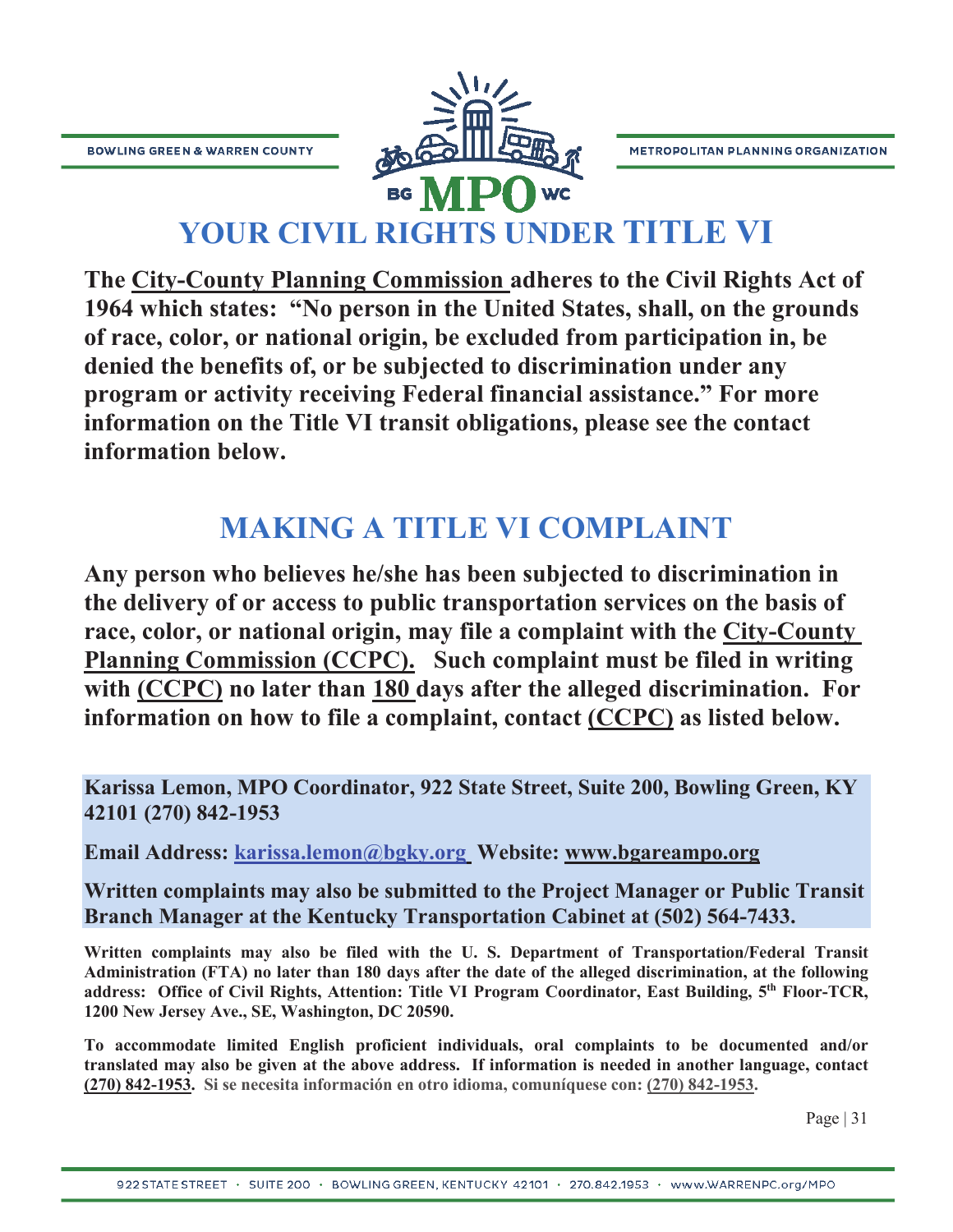**METROPOLITAN PLANNING ORGANIZATION** 

**BOWLING GREEN & WARREN COUNTY** 



## **YOUR CIVIL RIGHTS UNDER TITLE VI**

**The City-County Planning Commission adheres to the Civil Rights Act of 1964 which states: "No person in the United States, shall, on the grounds of race, color, or national origin, be excluded from participation in, be denied the benefits of, or be subjected to discrimination under any program or activity receiving Federal financial assistance." For more information on the Title VI transit obligations, please see the contact information below.** 

## **MAKING A TITLE VI COMPLAINT**

**Any person who believes he/she has been subjected to discrimination in the delivery of or access to public transportation services on the basis of race, color, or national origin, may file a complaint with the City-County Planning Commission (CCPC). Such complaint must be filed in writing with (CCPC) no later than 180 days after the alleged discrimination. For information on how to file a complaint, contact (CCPC) as listed below.** 

**Karissa Lemon, MPO Coordinator, 922 State Street, Suite 200, Bowling Green, KY 42101 (270) 842-1953** 

**Email Address: karissa.lemon@bgky.org Website: www.bgareampo.org** 

**Written complaints may also be submitted to the Project Manager or Public Transit Branch Manager at the Kentucky Transportation Cabinet at (502) 564-7433.** 

**Written complaints may also be filed with the U. S. Department of Transportation/Federal Transit Administration (FTA) no later than 180 days after the date of the alleged discrimination, at the following address: Office of Civil Rights, Attention: Title VI Program Coordinator, East Building, 5th Floor-TCR, 1200 New Jersey Ave., SE, Washington, DC 20590.** 

**To accommodate limited English proficient individuals, oral complaints to be documented and/or translated may also be given at the above address. If information is needed in another language, contact (270) 842-1953. Si se necesita información en otro idioma, comuníquese con: (270) 842-1953.**

Page | 31